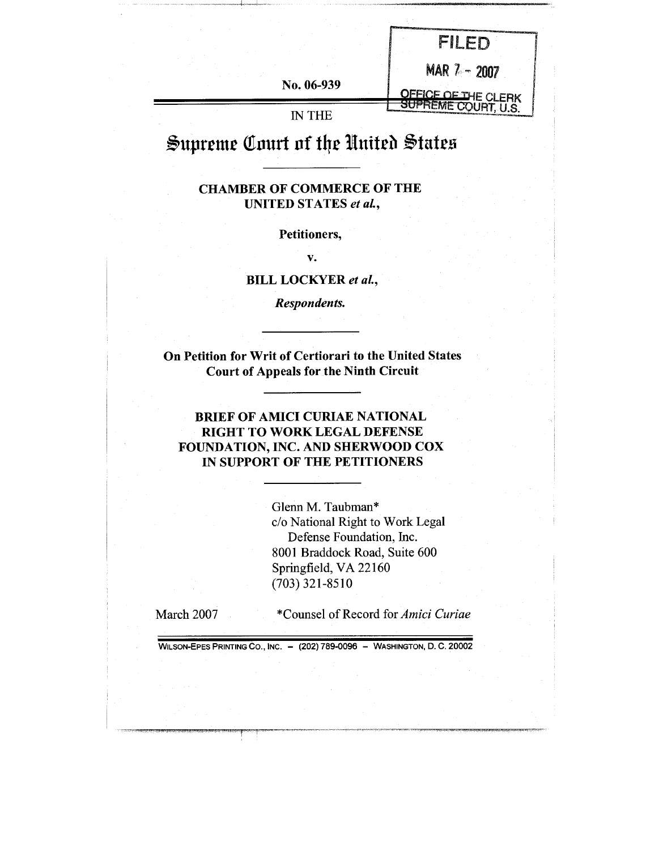| No. 06-939    | MAR 7 - 2007<br><b>JEFICE OF THE CLERK</b> |
|---------------|--------------------------------------------|
| <b>IN THE</b> |                                            |

# Supreme Court of the United States

### CHAMBER OF COMMERCE OF THE UNITED STATES *et aL,*

#### Petitioners,

V.

### BILL LOCKYER *et al.,*

*Respondents.*

On Petition for Writ of Certiorari to the United States Court of Appeals for the Ninth Circuit

### BRIEF OF AMICI CURIAE NATIONAL RIGHT TO WORK LEGAL DEFENSE FOUNDATION, INC. AND SHERWOOD COX IN SUPPORT OF THE PETITIONERS

Glenn M. Taubman\* c/o National Right to Work Legal Defense Foundation, Inc. 8001 Braddock Road, Suite 600 Springfield, VA 22160 (703) 321-8510

March 2007

\*Counsel of Record *for Amici Curiae*

WILSON-EPES PRINTING CO., INC. - (202) 789-0096 - WASHINGTON, D. C. 20002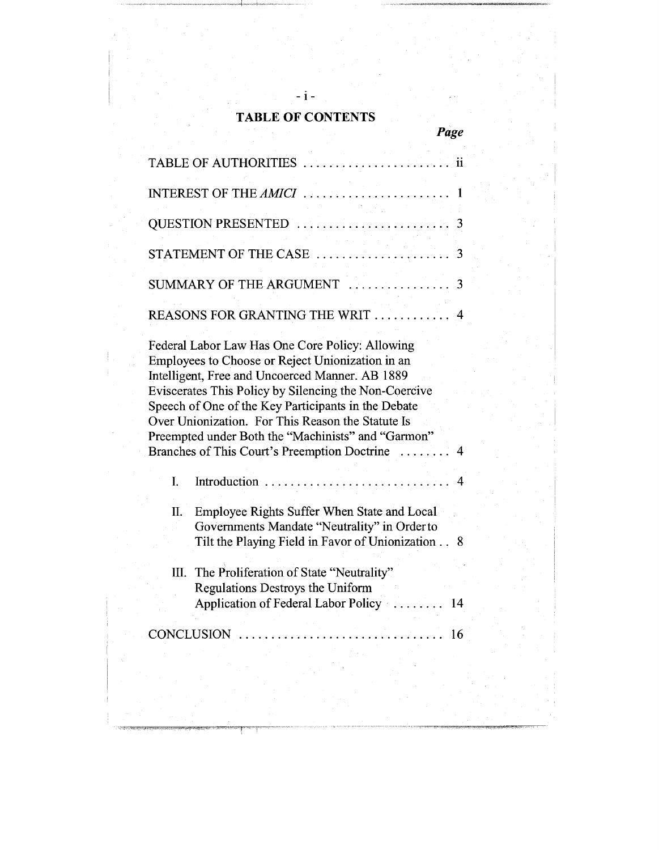# **TABLE OF CONTENTS**

*Page*

**-i-**

|      | TABLE OF AUTHORITIES<br>$\ddot{\mathbf{i}}$                                                                                                                                                                                                                                                                                                                                                                                                   |
|------|-----------------------------------------------------------------------------------------------------------------------------------------------------------------------------------------------------------------------------------------------------------------------------------------------------------------------------------------------------------------------------------------------------------------------------------------------|
|      |                                                                                                                                                                                                                                                                                                                                                                                                                                               |
|      | QUESTION PRESENTED<br>3                                                                                                                                                                                                                                                                                                                                                                                                                       |
|      | $\label{eq:2.1} \frac{d\mathbf{y}}{d\mathbf{y}} = \frac{1}{2} \left( \frac{d\mathbf{y}}{d\mathbf{y}} + \frac{d\mathbf{y}}{d\mathbf{y}} \right) + \frac{d\mathbf{y}}{d\mathbf{y}} + \frac{d\mathbf{y}}{d\mathbf{y}} + \frac{d\mathbf{y}}{d\mathbf{y}} + \frac{d\mathbf{y}}{d\mathbf{y}} + \frac{d\mathbf{y}}{d\mathbf{y}} + \frac{d\mathbf{y}}{d\mathbf{y}} + \frac{d\mathbf{y}}{d\mathbf{y}} + \frac{d\mathbf{$<br>STATEMENT OF THE CASE<br>3 |
|      | SUMMARY OF THE ARGUMENT<br>3                                                                                                                                                                                                                                                                                                                                                                                                                  |
|      | REASONS FOR GRANTING THE WRIT<br>-4                                                                                                                                                                                                                                                                                                                                                                                                           |
|      | Federal Labor Law Has One Core Policy: Allowing<br>Employees to Choose or Reject Unionization in an<br>Intelligent, Free and Uncoerced Manner. AB 1889<br>Eviscerates This Policy by Silencing the Non-Coercive<br>Speech of One of the Key Participants in the Debate<br>Over Unionization. For This Reason the Statute Is<br>Preempted under Both the "Machinists" and "Garmon"<br>Branches of This Court's Preemption Doctrine             |
| I.   | Introduction<br>-4                                                                                                                                                                                                                                                                                                                                                                                                                            |
| Π.   | Employee Rights Suffer When State and Local<br>Governments Mandate "Neutrality" in Order to<br>Tilt the Playing Field in Favor of Unionization<br>8                                                                                                                                                                                                                                                                                           |
| III. | The Proliferation of State "Neutrality"<br>Regulations Destroys the Uniform<br>Application of Federal Labor Policy<br>14                                                                                                                                                                                                                                                                                                                      |
|      | 16                                                                                                                                                                                                                                                                                                                                                                                                                                            |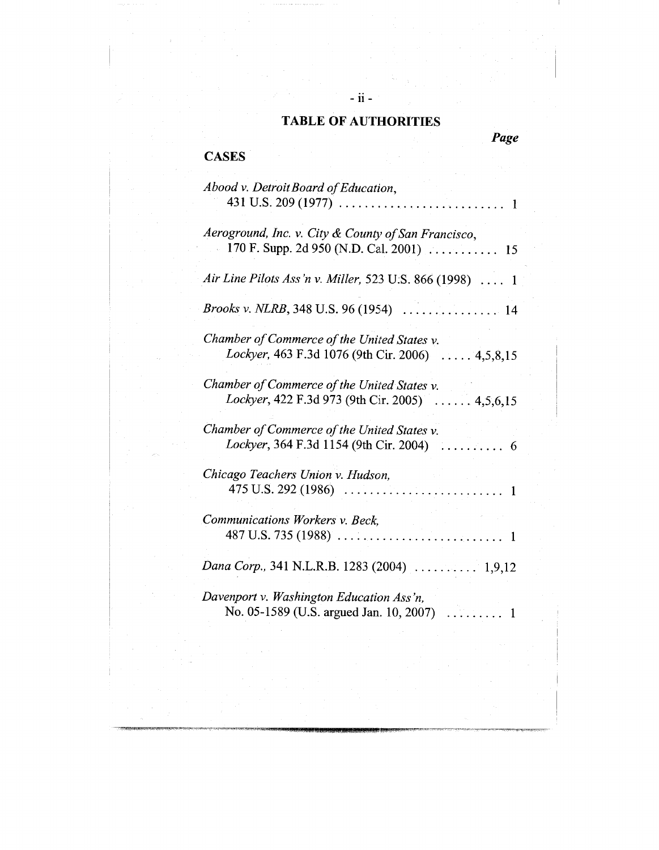*Page*

**- ii -**

**CASES**

| Abood v. Detroit Board of Education,                                                            |
|-------------------------------------------------------------------------------------------------|
| Aeroground, Inc. v. City & County of San Francisco,                                             |
| Air Line Pilots Ass'n v. Miller, 523 U.S. 866 (1998)  1                                         |
| <i>Brooks v. NLRB</i> , 348 U.S. 96 (1954) $\ldots \ldots \ldots \ldots \ldots$ 14              |
| Chamber of Commerce of the United States v.<br>Lockyer, 463 F.3d 1076 (9th Cir. 2006)  4,5,8,15 |
| Chamber of Commerce of the United States v.<br>Lockyer, 422 F.3d 973 (9th Cir. 2005)  4,5,6,15  |
| Chamber of Commerce of the United States v.                                                     |
| Chicago Teachers Union v. Hudson,                                                               |
| Communications Workers v. Beck,                                                                 |
| Dana Corp., 341 N.L.R.B. 1283 (2004)  1,9,12                                                    |
| Davenport v. Washington Education Ass'n,<br>No. 05-1589 (U.S. argued Jan. 10, 2007)<br>1        |
|                                                                                                 |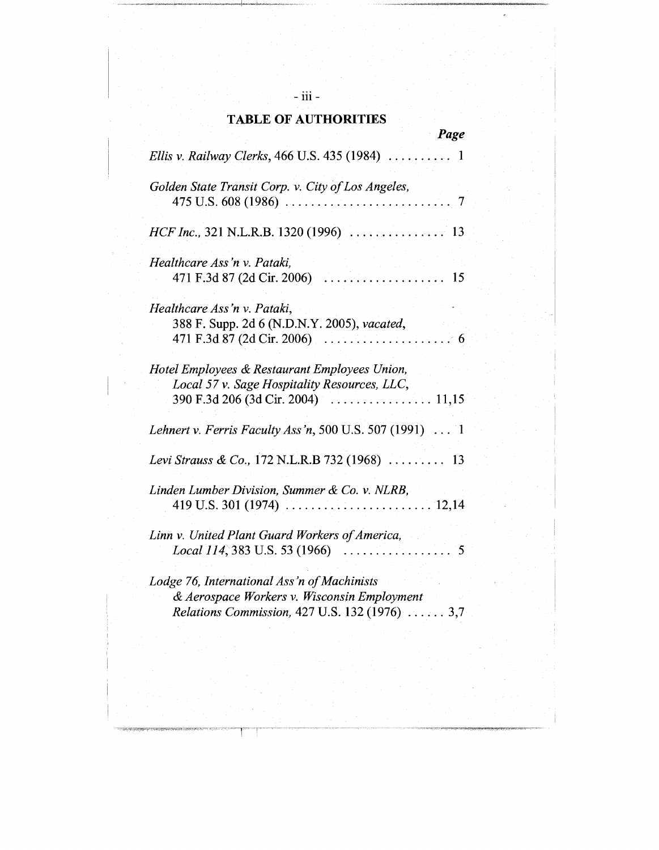|                                                                                                                                                    | Page |
|----------------------------------------------------------------------------------------------------------------------------------------------------|------|
| Ellis v. Railway Clerks, 466 U.S. 435 (1984)                                                                                                       | 1    |
| Golden State Transit Corp. v. City of Los Angeles,<br>475 U.S. 608 (1986)                                                                          | 7    |
|                                                                                                                                                    |      |
| Healthcare Ass'n v. Pataki,<br>. <i>.</i> .<br>471 F.3d 87 (2d Cir. 2006)                                                                          | 15   |
| Healthcare Ass'n v. Pataki,<br>388 F. Supp. 2d 6 (N.D.N.Y. 2005), vacated,<br>471 F.3d 87 (2d Cir. 2006) $\ldots \ldots \ldots \ldots \ldots$      | 6    |
| Hotel Employees & Restaurant Employees Union,<br>Local 57 v. Sage Hospitality Resources, LLC,                                                      |      |
| Lehnert v. Ferris Faculty Ass'n, 500 U.S. 507 (1991) $\ldots$ 1                                                                                    |      |
| Levi Strauss & Co., 172 N.L.R.B 732 (1968)  13                                                                                                     |      |
| Linden Lumber Division, Summer & Co. v. NLRB,                                                                                                      |      |
| Linn v. United Plant Guard Workers of America,<br>Local 114, 383 U.S. 53 (1966)                                                                    | 5    |
| Lodge 76, International Ass'n of Machinists<br>& Aerospace Workers v. Wisconsin Employment<br>Relations Commission, 427 U.S. 132 (1976) $\ldots$ . | 3,7  |

°°° **= 111 =**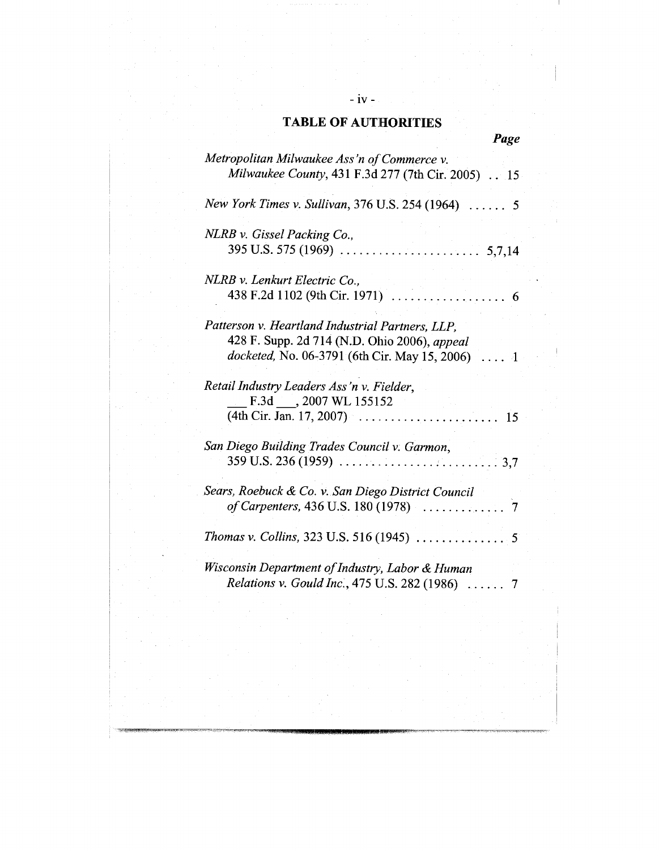**- iv -**

| Page |
|------|

| Metropolitan Milwaukee Ass'n of Commerce v.              |      |
|----------------------------------------------------------|------|
|                                                          |      |
| Milwaukee County, 431 F.3d 277 (7th Cir. 2005) 15        |      |
| New York Times v. Sullivan, 376 U.S. 254 (1964)  5       |      |
|                                                          |      |
| NLRB v. Gissel Packing Co.,                              |      |
|                                                          |      |
| NLRB v. Lenkurt Electric Co.,                            |      |
| 438 F.2d 1102 (9th Cir. 1971)<br>. 6                     |      |
| Patterson v. Heartland Industrial Partners, LLP,         |      |
| 428 F. Supp. 2d 714 (N.D. Ohio 2006), appeal             |      |
| docketed, No. 06-3791 (6th Cir. May 15, 2006) $\ldots$ 1 |      |
| Retail Industry Leaders Ass'n v. Fielder,                |      |
| F.3d ___, 2007 WL 155152                                 |      |
| $(4th Cir. Jan. 17, 2007)$                               | 15   |
| San Diego Building Trades Council v. Garmon,             |      |
| $359$ U.S. 236 (1959)                                    | .3,7 |
| Sears, Roebuck & Co. v. San Diego District Council       |      |
|                                                          |      |
|                                                          |      |
|                                                          |      |
| Wisconsin Department of Industry, Labor & Human          |      |
| Relations v. Gould Inc., 475 U.S. 282 (1986)  7          |      |
|                                                          |      |
|                                                          |      |
|                                                          |      |
|                                                          |      |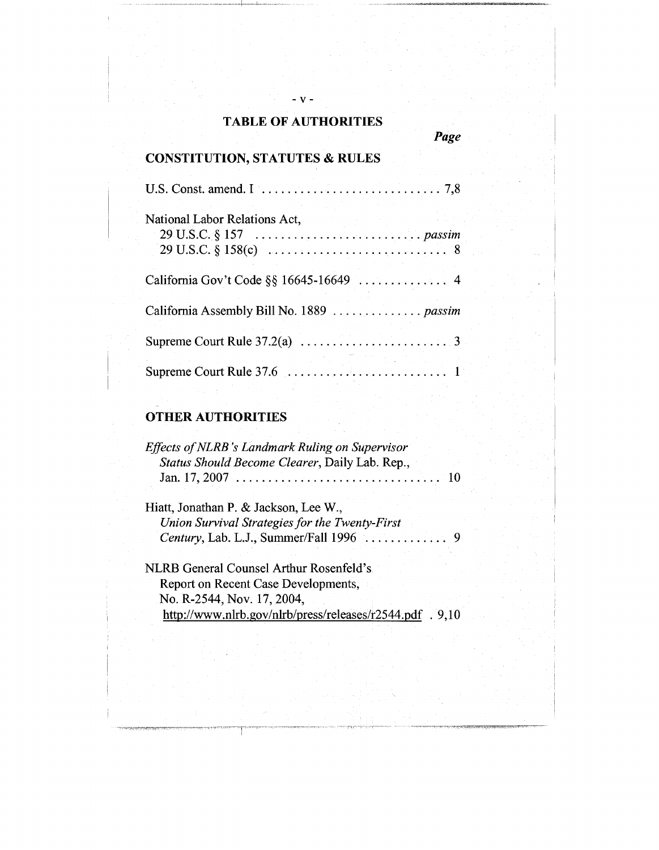*Page*

**-v-**

# CONSTITUTION, STATUTES & **RULES**

| National Labor Relations Act,             |
|-------------------------------------------|
|                                           |
| California Assembly Bill No. 1889  passim |
|                                           |
|                                           |

# **OTHER AUTHORITIES**

| Effects of NLRB's Landmark Ruling on Supervisor<br>Status Should Become Clearer, Daily Lab. Rep., | - 10 |
|---------------------------------------------------------------------------------------------------|------|
| Hiatt, Jonathan P. & Jackson, Lee W.,                                                             |      |
| Union Survival Strategies for the Twenty-First                                                    |      |
|                                                                                                   |      |
| NLRB General Counsel Arthur Rosenfeld's                                                           |      |
| Report on Recent Case Developments,                                                               |      |
| No. R-2544, Nov. 17, 2004,                                                                        |      |
| http://www.nlrb.gov/nlrb/press/releases/r2544.pdf . 9,10                                          |      |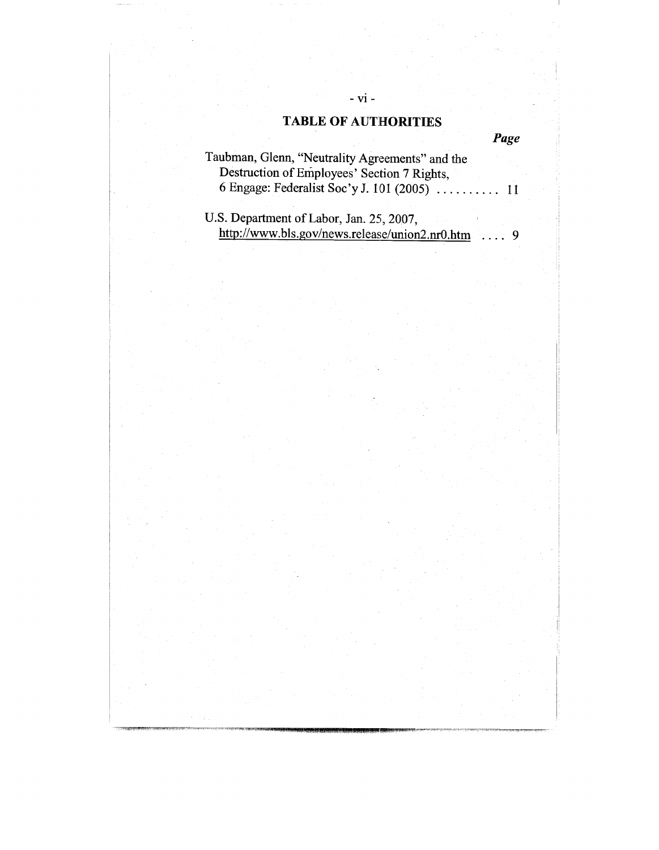**- vi -**

*Page*

| Taubman, Glenn, "Neutrality Agreements" and the |  |
|-------------------------------------------------|--|
| Destruction of Employees' Section 7 Rights,     |  |
|                                                 |  |

U.S. Department of Labor, Jan. 25, 2007, http://www.bls.gov/news.release/union2.nr0.htm .... 9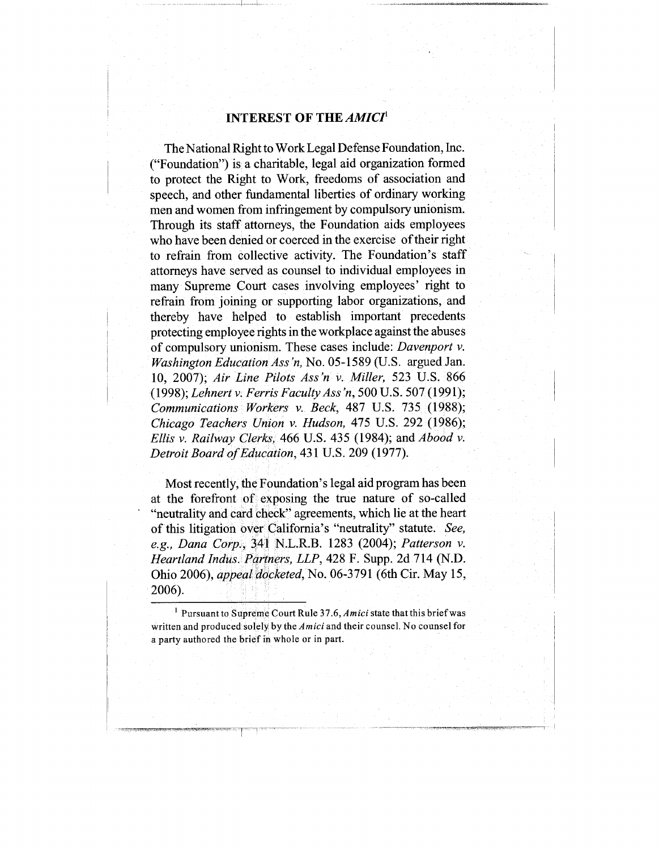### INTEREST OF THE *AMICI 1*

The National Right to Work Legal Defense Foundation, Inc. ("Foundation") is a charitable, legal aid organization formed to protect the Right to Work, freedoms of association and speech, and other fundamental liberties of ordinary working men and women from infringement by compulsory unionism. Through its staff attorneys, the Foundation aids employees who have been denied or coerced in the exercise of their right to refrain from collective activity. The Foundation's staff attorneys have served as counsel to individual employees in many Supreme Court cases involving employees' right to refrain from joining or supporting labor organizations, and thereby have helped to establish important precedents protecting employee rights in the workplace against the abuses of compulsory unionism. These cases include: *Davenport v. Washington Education Ass "n,* No. 05-1589 (U.S. argued Jan. 10, 2007); *Air Line Pilots Ass'n v. Miller,* 523 U.S. 866 (1998); *Lehnert v. Ferris Faculty Ass "n,* 500 U.S. 507 (1991); *Communications Workers v. Beck,* 487 U.S. 735 (1988); *Chicago Teachers Union v. Hudson,* 475 U.S. 292 (1986); *Ellis v. Railway Clerks,* 466 U.S. 435 (1984); *and Abood v. Detroit Board of Education,* 431 U.S. 209 (1977).

Most recently, the Foundation's legal aid program has been at the forefront of exposing the true nature of so-called "neutrality and card check" agreements, which lie at the heart of this litigation over California's "neutrality" statute. *See, e.g., Dana Corp.,* 341 N.L.R.B. 1283 (2004); *Patterson v. Heartland Indus. Partners, LLP,* 428 F. Supp. 2d 714 (N.D. Ohio 2006), *appeal docketed,* No. 06-3791 (6th Cir. May 15, 2006).

<sup>1</sup> Pursuant to Supreme Court Rule 37.6, *Amici* state that this brief was written and produced solely by the *Amici* and their counsel. No counsel for a party authored the brief in whole or in part.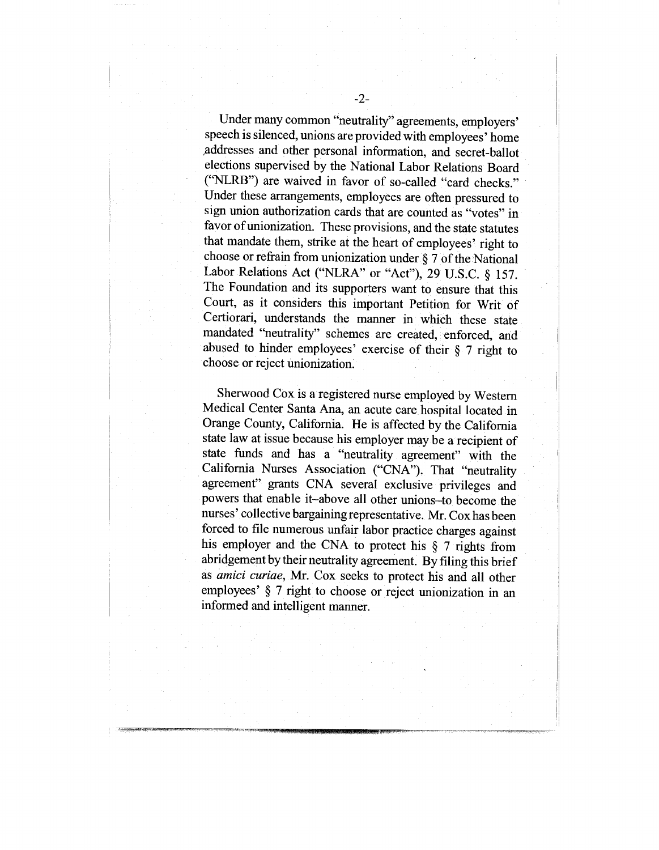Under many common "neutrality" agreements, employers' speech is silenced, unions are provided with employees' home addresses and other personal information, and secret-ballot elections supervised by the National Labor Relations Board ("NLRB") are waived in favor of so-called "card checks." Under these arrangements, employees are often pressured to sign union authorization cards that are counted as "votes" in favor of unionization. These provisions, and the state statutes that mandate them, strike at the heart of employees' right to choose or refrain from unionization under  $\S 7$  of the National Labor Relations Act ("NLRA" or "Act"), 29 U.S.C. § 157. The Foundation and its supporters want to ensure that this Court, as it considers this important Petition for Writ of Certiorari, understands the manner in which these state mandated "neutrality" schemes are created, enforced, and abused to hinder employees' exercise of their § 7 right to choose or reject unionization.

Sherwood Cox is a registered nurse employed by Western Medical Center Santa Ana, an acute care hospital located in Orange County, California. He is affected by the California state law at issue because his employer may be a recipient of state funds and has a "neutrality agreement" with the California Nurses Association ("CNA"). That "neutrality agreement" grants CNA several exclusive privileges and powers that enable it-above all other unions-to become the nurses' collective bargaining representative. Mr. Cox has been forced to file numerous unfair labor practice charges against his employer and the CNA to protect his § 7 rights from abridgement by their neutrality agreement. By filing this brief as *amici curiae, Mr.* Cox seeks to protect his and all other employees' § 7 right to choose or reject unionization in an informed and intelligent manner.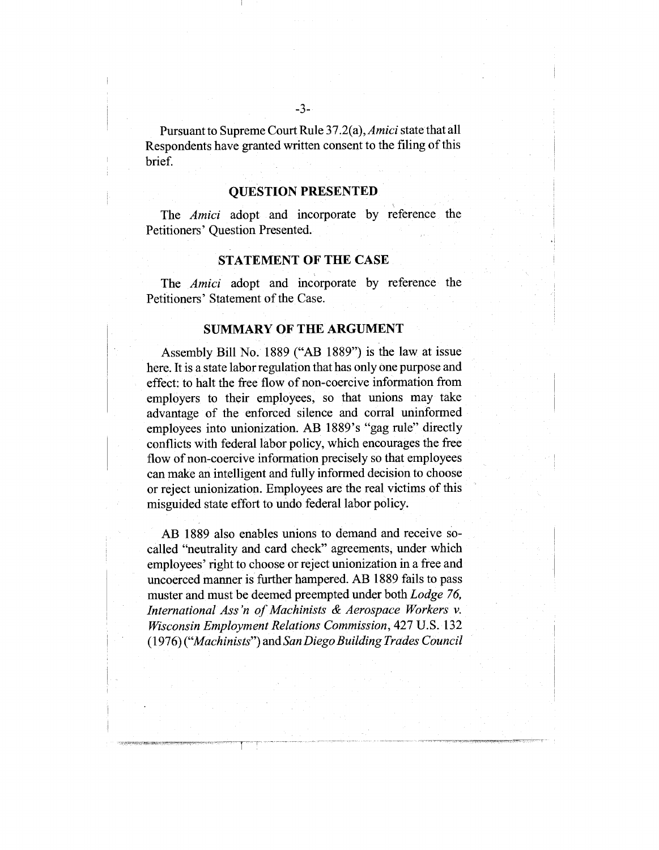### **QUESTION PRESENTED**

The *Amici* adopt and incorporate by reference the Petitioners' Question Presented.

### **STATEMENT OF THE CASE**

The *Amici* adopt and incorporate by reference the Petitioners' Statement of the Case.

#### **SUMMARY OF THE ARGUMENT**

Assembly Bill No. 1889 ("AB 1889") is the law at issue here. It is a state labor regulation that has only one purpose and effect: to halt the free flow of non-coercive information from employers to their employees, so that unions may take advantage of the enforced silence and corral uninformed employees into unionization. AB 1889's "gag rule" directly conflicts with federal labor policy, which encourages the free flow of non-coercive information precisely so that employees can make an intelligent and fully informed decision to choose or reject unionization. Employees are the real victims of this misguided state effort to undo federal labor policy.

AB 1889 also enables unions to demand and receive socalled "neutrality and card check" agreements, under which employees' right to choose or reject unionization in a free and uncoerced manner is further hampered. AB 1889 fails to pass muster and must be deemed preempted under both *Lodge 76, International Ass "n of Machinists & Aerospace Workers v. Wisconsin Employment Relations Commission,* 427 U.S. 132 (1976) *("Machinists")* and *San Diego Building Trades Council*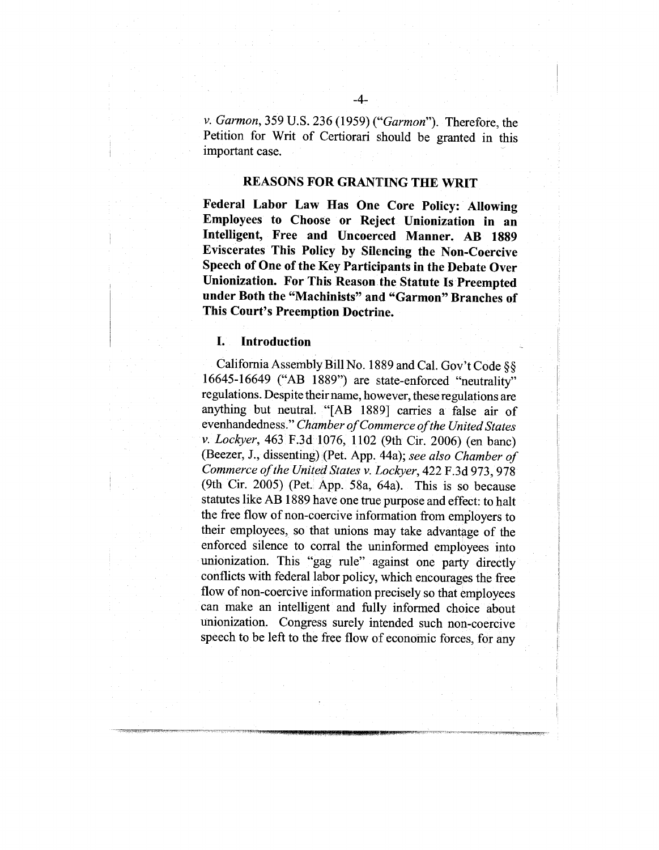*v. Garmon,* 359 U.S. 236 (1959) *("Garmon").* Therefore, the Petition for Writ of Certiorari should be granted in this important case.

### REASONS FOR GRANTING THE WRIT

**Federal Labor Law Has One Core Policy: Allowing Employees to Choose or Reject Unionization in an Intelligent, Free and Uncoereed Manner. AB 1889 Eviscerates This Policy by Silencing the Non-Coercive Speech of One of the Key Participants in the Debate Over Unionization. For This Reason the Statute Is Preempted under Both the "Machinists" and "Garmon" Branches of This Court's Preemption Doctrine.**

#### **I. Introduction**

California Assembly Bill No. 1889 and Cal. Gov't Code §§ 16645-16649 ("AB 1889") are state-enforced "neutrality" regulations. Despite their name, however, these regulations are anything but neutral. "[AB 1889] carries a false air of evenhandedness." *Chamber of Commerce of the United States v. Lockyer,* 463 F.3d 1076, 1102 (9th Cir. 2006) (en bane) (Beezer, J., dissenting) (Pet. App. 44a); *see also Chamber of Commerce of the United States v. Lockyer,* 422 F.3d 973, 978 (9th Cir. 2005) (Pet. App. 58a, 64a). This is so because statutes like AB 1889 have one true purpose and effect: to halt the free flow of non-coercive information from employers to their employees, so that unions may take advantage of the enforced silence to corral the uninformed employees into unionization. This "gag rule" against one party directly conflicts with federal labor policy, which encourages the free flow of non-coercive information precisely so that employees can make an intelligent and fully informed choice about unionization. Congress surely intended such non-coercive speech to be left to the free flow of economic forces, for any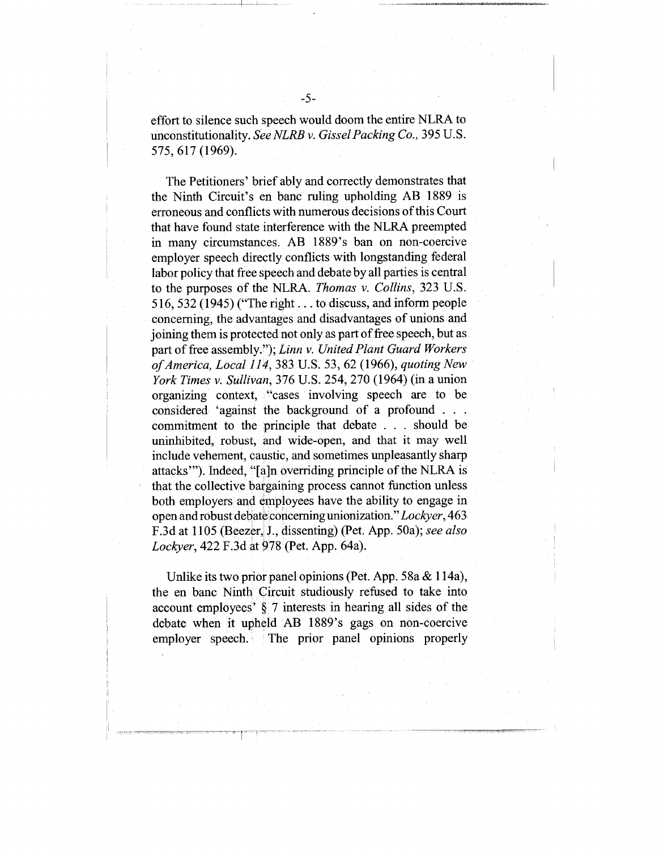The Petitioners' brief ably and correctly demonstrates that the Ninth Circuit's en banc ruling upholding AB 1889 is erroneous and conflicts with numerous decisions of this Court that have found state interference with the NLRA preempted in many circumstances. AB 1889's ban on non-coercive employer speech directly conflicts with longstanding federal labor policy that free speech and debate by all parties is central to the purposes of the NLRA. *Thomas v. Collins,* 323 U.S. 516, 532 (1945) ("The right.., to discuss, and inform people concerning, the advantages and disadvantages of unions and joining them is protected not only as part of free speech, but as part of free assembly."); *Linn v. United Plant Guard Workers of America, Local 114,* 383 U.S. 53, 62 (1966), *quoting New York Times v. Sullivan,* 376 U.S. 254, 270 (1964) (in a union organizing context, "cases involving speech are to be considered 'against the background of a profound .... commitment to the principle that debate . . . should be uninhibited, robust, and wide-open, and that it may well include vehement, caustic, and sometimes unpleasantly sharp attacks'"). Indeed, "[a]n overriding principle of the NLRA is that the collective bargaining process cannot function unless both employers and employees have the ability to engage in open and robust debate concerning unionization." *Lockyer,* 463 F.3d at 1105 (Beezer, J., dissenting) (Pet. App. 50a); *see also Lockyer,* 422 F.3d at 978 (Pet. App. 64a).

Unlike its two prior panel opinions (Pet. App. 58a & 114a), the en banc Ninth Circuit studiously refused to take into account employees' § 7 interests in hearing all sides of the debate when it upheld AB 1889's gags on non-coercive employer speech. The prior panel opinions properly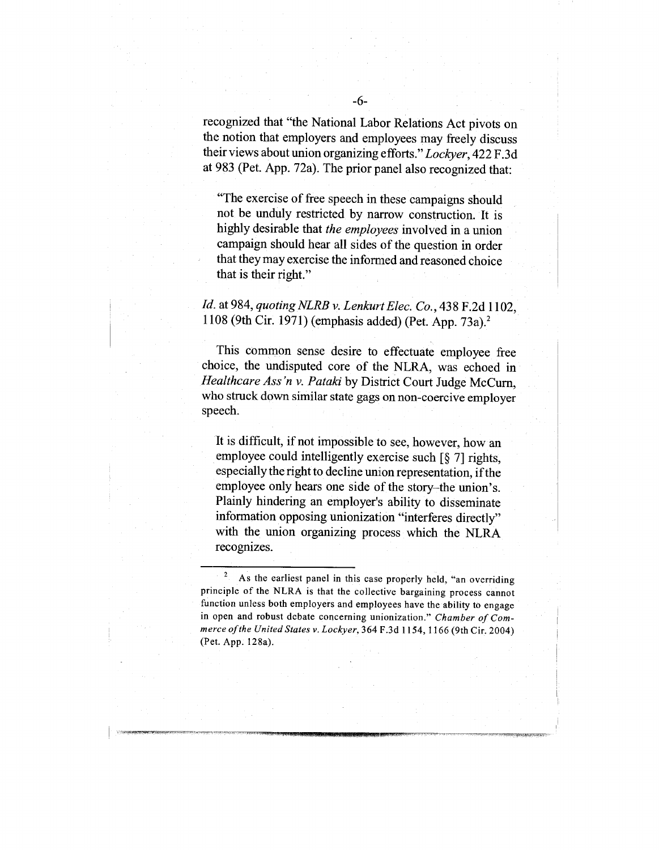recognized that "the National Labor Relations Act pivots on the notion that employers and employees may freely discuss their views about union organizing efforts." *Lockyer,* 422 F.3d at 983 (Pet. App. 72a). The prior panel also recognized that:

"The exercise of free speech in these campaigns should not be unduly restricted by narrow construction. It is highly desirable that *the employees* involved in a union campaign should hear all sides of the question in order that they may exercise the informed and reasoned choice that is their right."

### *Id.* at 984, *quoting NLRB v. Lenkurt Elec. Co.,* 438 F.2d 1102, 1108 (9th Cir. 1971) (emphasis added) (Pet. App. 73a).<sup>2</sup>

This common sense desire to effectuate employee free choice, the undisputed core of the NLRA, was echoed in *Healthcare Ass 'n v. Pataki* by District Court Judge McCurn, who struck down similar state gags on non-coercive employer speech.

It is difficult, if not impossible to see, however, how an employee could intelligently exercise such [§ 7] rights, especially the right to decline union representation, if the employee only hears one side of the story-the union's. Plainly hindering an employer's ability to disseminate information opposing unionization "interferes directly" with the union organizing process which the NLRA recognizes.

<sup>&</sup>lt;sup>2</sup> As the earliest panel in this case properly held, "an overriding principle of the NLRA is that the collective bargaining process cannot function unless both employers and employees have the ability to engage in open and robust debate concerning unionization." *Chamber of Commerce of the United States v. Lockyer,* 364 F.3d 1154, 1166 (9th Cir. 2004) (Pet. App. 128a).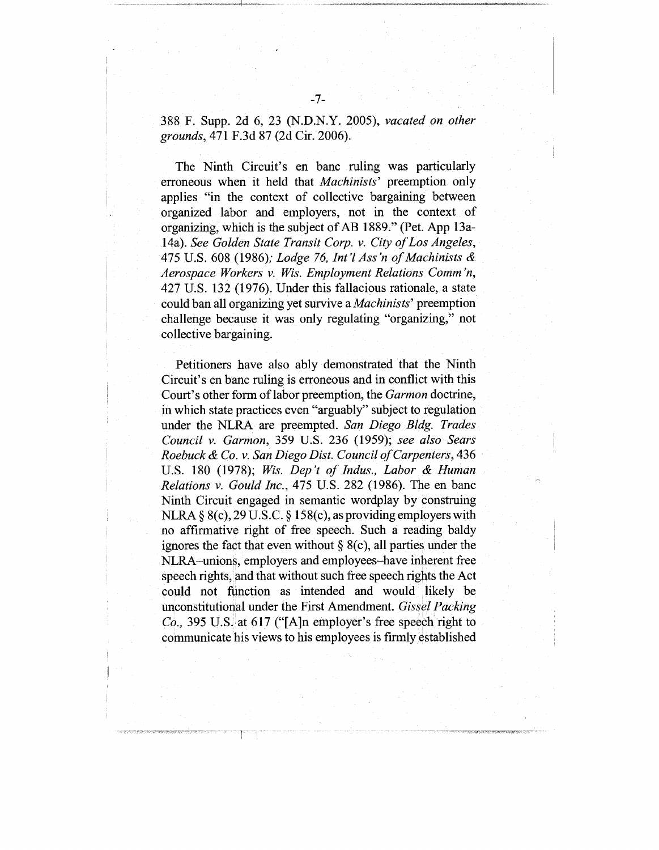388 F. Supp. 2d 6, 23 (N.D.N.Y. 2005), *vacated on other grounds,* 471 F.3d 87 (2d Cir. 2006).

The Ninth Circuit's en banc ruling was particularly erroneous when it held that *Machinists'* preemption only applies "in the context of collective bargaining between organized labor and employers, not in the context of organizing, which is the subject of AB 1889." (Pet. App 13a-14a). *See Golden State Transit Corp. v. City of Los Angeles,* 475 U.S. 608 (1986); *Lodge 76, Int'l Ass 'n of Machinists & Aerospace Workers v. Wis. Employment Relations Comm 'n,* 427 U.S. 132 (1976). Under this fallacious rationale, a state could ban all organizing yet survive a *Machinists'* preemption challenge because it was only regulating "organizing," not collective bargaining.

Petitioners have also ably demonstrated that the Ninth Circuit's en banc ruling is erroneous and in conflict with this Court's other form of labor preemption, the *Garmon* doctrine, in which state practices even "arguably" subject to regulation under the NLRA are preempted. *San Diego Bldg. Trades Council v. Garmon,* 359 U.S. 236 (1959); *see also Sears Roebuck & Co. v. San Diego Dist. Council of Carpenters,* 436 U.S. 180 (1978); *Wis. Dep't of Indus., Labor & Human Relations v. Gould Inc.,* 475 U.S. 282 (1986). The en banc Ninth Circuit engaged in semantic wordplay by construing NLRA § 8(c), 29 U.S.C. § 158(c), as providing employers with no affirmative right of free speech. Such a reading baldy ignores the fact that even without  $\S$  8(c), all parties under the NLRA-unions, employers and employees-have inherent free speech rights, and that without such free speech rights the Act could not function as intended and would likely be unconstitutional under the First Amendment. *Gissel Packing Co.,* 395 U.S. at 617 ("[A]n employer's free speech fight to communicate his views to his employees is firmly established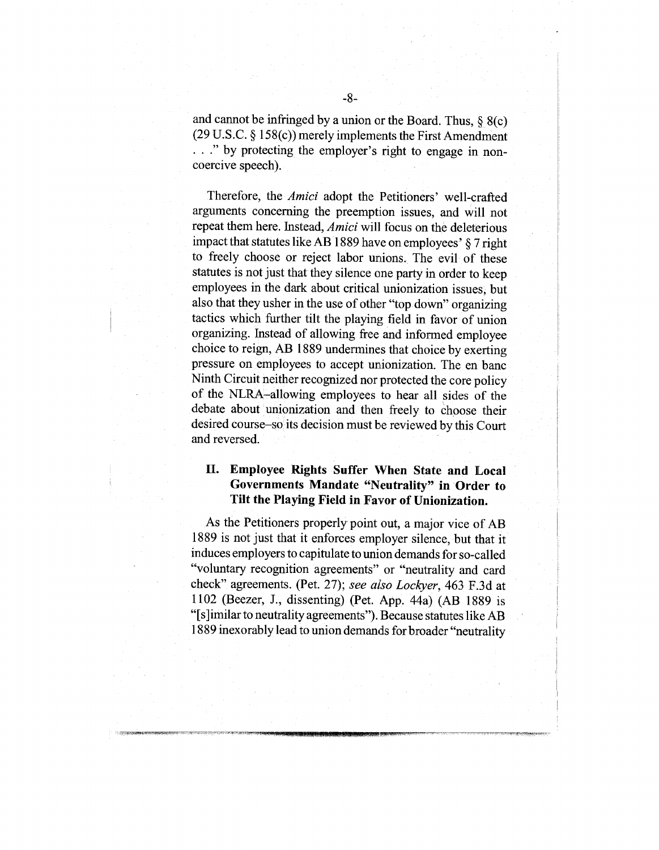and cannot be infringed by a union or the Board. Thus,  $\S$  8(c) (29 U.S.C. § 158(c)) merely implements the First Amendment ..." by protecting the employer's right to engage in noncoercive speech).

Therefore, the *Amici* adopt the Petitioners' well-crafted arguments concerning the preemption issues, and will not repeat them here. Instead, *Amici* will focus on the deleterious impact that statutes like AB 1889 have on employees' § 7 right to freely choose or reject labor unions. The evil of these statutes is not just that they silence one party in order to keep employees in the dark about critical unionization issues, but also that they usher in the use of other "top down" organizing tactics which further tilt the playing field in favor of union organizing. Instead of allowing free and informed employee choice to reign, AB 1889 undermines that choice by exerting pressure on employees to accept unionization. The en banc Ninth Circuit neither recognized nor protected the core policy of the NLRA-allowing employees to hear all sides of the debate about unionization and then freely to choose their desired course-so its decision must be reviewed by this Court and reversed.

### II. **Employee Rights Suffer When State and Local Governments Mandate "Neutrality" in Order to Tilt the Playing Field in Favor of Unionization.**

As the Petitioners properly point out, a major vice of AB 1889 is not just that it enforces employer silence, but that it induces employers to capitulate to union demands for so-called "voluntary recognition agreements" or "neutrality and card check" agreements. (Pet. 27); *see also Lockyer,* 463 F.3d at 1102 (Beezer, J., dissenting) (Pet. App. 44a) (AB 1889 "[s]imilar to neutrality agreements"). Because statutes like AB 1889 inexorably lead to union demands for broader "neutrality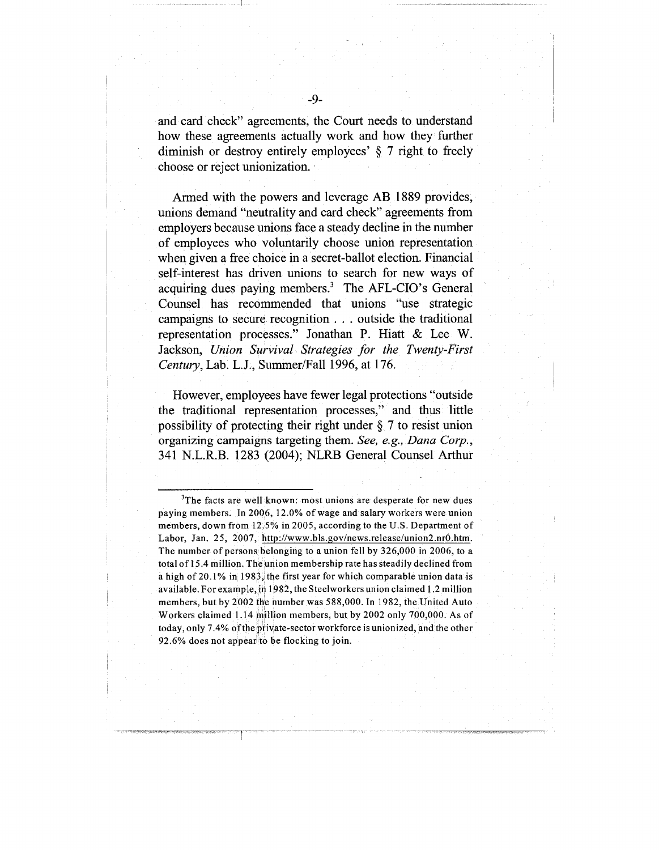and card check" agreements, the Court needs to understand how these agreements actually work and how they further diminish or destroy entirely employees' § 7 right to freely choose or reject unionization.

Armed with the powers and leverage AB 1889 provides, unions demand "neutrality and card check" agreements from employers because unions face a steady decline in the number of employees who voluntarily choose union representation when given a free choice in a secret-ballot election. Financial self-interest has driven unions to search for new ways of acquiring dues paying members.<sup>3</sup> The AFL-CIO's General Counsel has recommended that unions "use strategic campaigns to secure recognition.., outside the traditional representation processes." Jonathan P. Hiatt & Lee W. Jackson, *Union Survival Strategies for the Twenty-First Century,* Lab. L.J., Summer/Fall 1996, at 176.

However, employees have fewer legal protections "outside the traditional representation processes," and thus little possibility of protecting their right under  $\S$  7 to resist union organizing campaigns targeting them. *See, e.g., Dana Corp.,* 341 N.L.R.B. 1283 (2004); NLRB General Counsel Arthur

<sup>&</sup>lt;sup>3</sup>The facts are well known: most unions are desperate for new dues paying members. In 2006, 12.0% of wage and salary workers were union members, down from 12.5% in 2005, according to the U.S. Department of Labor, Jan. 25, 2007, http://www.bls.gov/news.release/union2.nr0.htm. The number of persons belonging to a union fell by 326,000 in 2006, to a total of 15.4 million. The union membership rate has steadily declined from a high of 20.1% in 1983, the first year for which comparable union data is available. For example, in 1982, the Steelworkers union claimed 1.2 million members, but by 2002 the number was 588,000. In 1982, the United Auto Workers claimed 1.14 million members, but by 2002 only 700,000. As of today, only 7.4% of the private-sector workforce is unionized, and the other 92.6% does not appear to be flocking to join.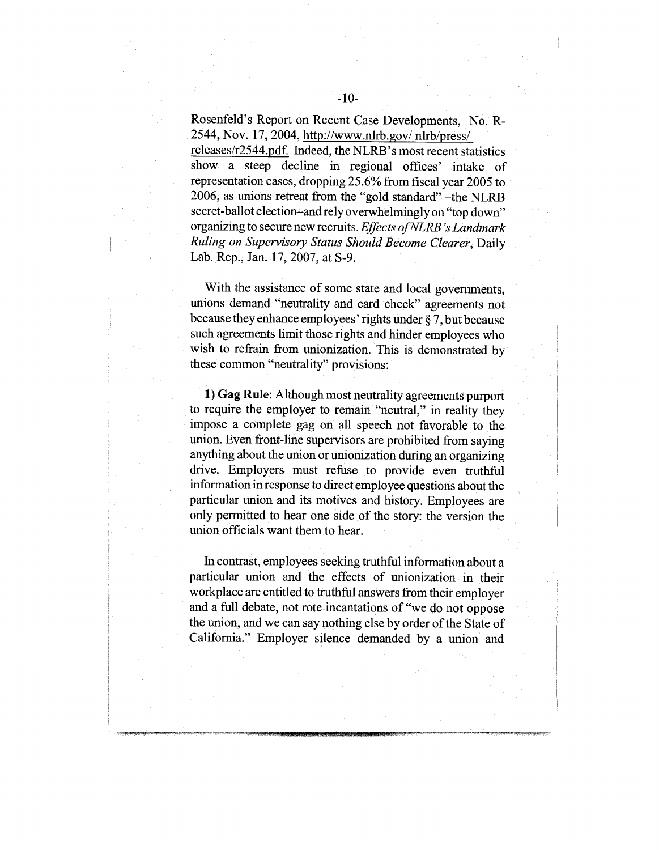Rosenfeld's Report on Recent Case Developments, No. R-2544, Nov. 17, 2004, http://www.nlrb.gov/nlrb/press/ releases/r2544.pdf. Indeed, the NLRB's most recent statistics

show a steep decline in regional offices' intake of representation cases, dropping 25.6% from fiscal year 2005 to 2006, as unions retreat from the "gold standard" -the NLRB secret-ballot election-and rely overwhelmingly on "top down" organizing to secure new recruits. *Effects ofNLRB "s Landmark Ruling on Supervisory Status Should Become Clearer,* Daily Lab. Rep., Jan. 17, 2007, at S-9.

With the assistance of some state and local governments, unions demand "neutrality and card check" agreements not because they enhance employees' rights under § 7, but because such agreements limit those rights and hinder employees who wish to refrain from unionization. This is demonstrated by these common "neutrality" provisions:

**1) Gag Rule:** Although most neutrality agreements purport to require the employer to remain "neutral," in reality they impose a complete gag on all speech not favorable to the union. Even front-line supervisors are prohibited from saying anything about the union or unionization during an organizing drive. Employers must refuse to provide even truthful information in response to direct employee questions about the particular union and its motives and history. Employees are only permitted to hear one side of the story: the version the union officials want them to hear.

In contrast, employees seeking truthful information about a particular union and the effects of unionization in their workplace are entitled to truthful answers from their employer and a full debate, not rote incantations of"we do not oppose the union, and we can say nothing else by order of the State of California." Employer silence demanded by a union and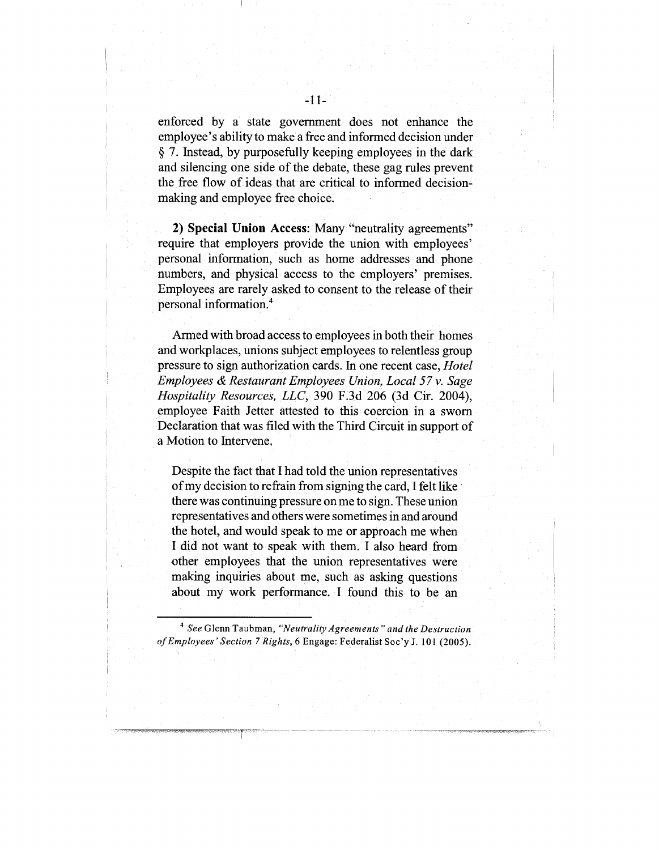enforced by a state government does not enhance the employee's ability to make a free and informed decision under § 7. Instead, by purposefully keeping employees in the dark and silencing one side of the debate, these gag rules prevent the free flow of ideas that are critical to informed decisionmaking and employee free choice.

**2) Special Union Access:** Many "neutrality agreements" require that employers provide the union with employees' personal information, such as home addresses and phone numbers, and physical access to the employers' premises. Employees are rarely asked to consent to the release of their personal information.<sup>4</sup>

Armed with broad access to employees in both their homes and workplaces, unions subject employees to relentless group pressure to sign authorization cards. In one recent case, *Hotel Employees & Restaurant Employees Union, Local 57 v. Sage Hospitality Resources, LLC,* 390 F.3d 206 (3d Cir. 2004), employee Faith Jetter attested to this coercion in a sworn Declaration that was filed with the Third Circuit in support of a Motion to Intervene.

Despite the fact that I had told the union representatives of my decision to refrain from signing the card, I felt like there was continuing pressure on me to sign. These union representatives and others were sometimes in and around the hotel, and would speak to me or approach me when I did not want to speak with them. I also heard from other employees that the union representatives were making inquiries about me, such as asking questions about my work performance. I found this to be an

<sup>4</sup> See Glenn Taubman, "Neutrality Agreements" and the Destruction *of Employees'Section 7 Rights,* 6 Engage: Federalist Soc'y J. 101 (2005).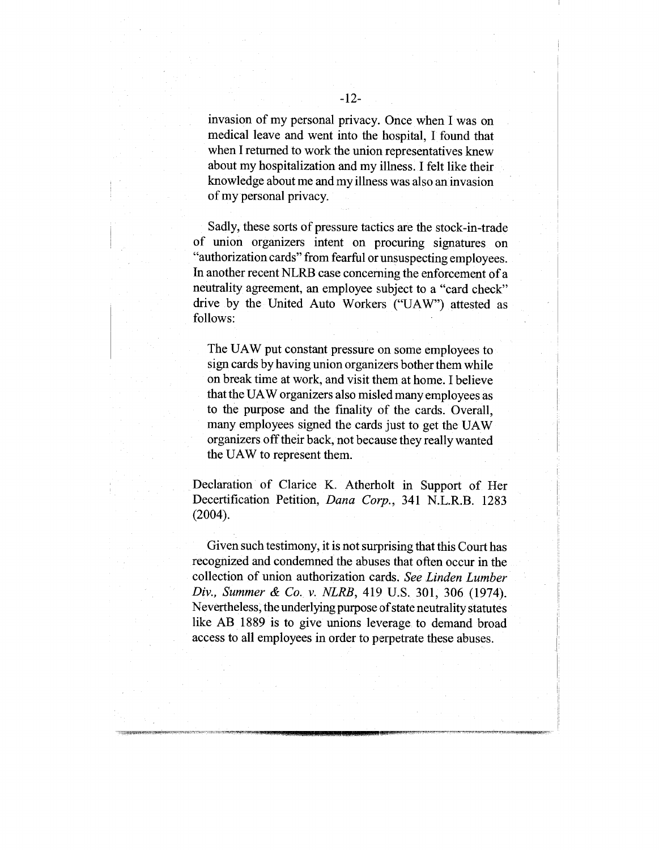invasion of my personal privacy. Once when I was on medical leave and went into the hospital, I found that when I returned to work the union representatives knew about my hospitalization and my illness. I felt like their knowledge about me and my illness was also an invasion of my personal privacy.

Sadly, these sorts of pressure tactics are the stock-in-trade of union organizers intent on procuring signatures on "authorization cards" from fearful or unsuspecting employees. In another recent NLRB case concerning the enforcement of a neutrality agreement, an employee subject to a "card check" drive by the United Auto Workers ("UAW") attested follows:

The UAW put constant pressure on some employees to sign cards by having union organizers bother them while on break time at work, and visit them at home. I believe that the UAW organizers also misled many employees as to the purpose and the finality of the cards. Overall, many employees signed the cards just to get the UAW organizers offtheir back, not because they really wanted the UAW to represent them.

Declaration of Clarice K. Atherholt in Support of Her Decertification Petition, *Dana Corp.,* 341 N.L.R.B. 1283 (2004).

Given such testimony, it is not surprising that this Court has recognized and condemned the abuses that often occur in the collection of union authorization cards. *See Linden Lumber Div., Summer & Co. v. NLRB, 419 U.S. 301, 306 (1974).* Nevertheless, the underlying purpose of state neutrality statutes like AB 1889 is to give unions leverage to demand broad access to all employees in order to perpetrate these abuses.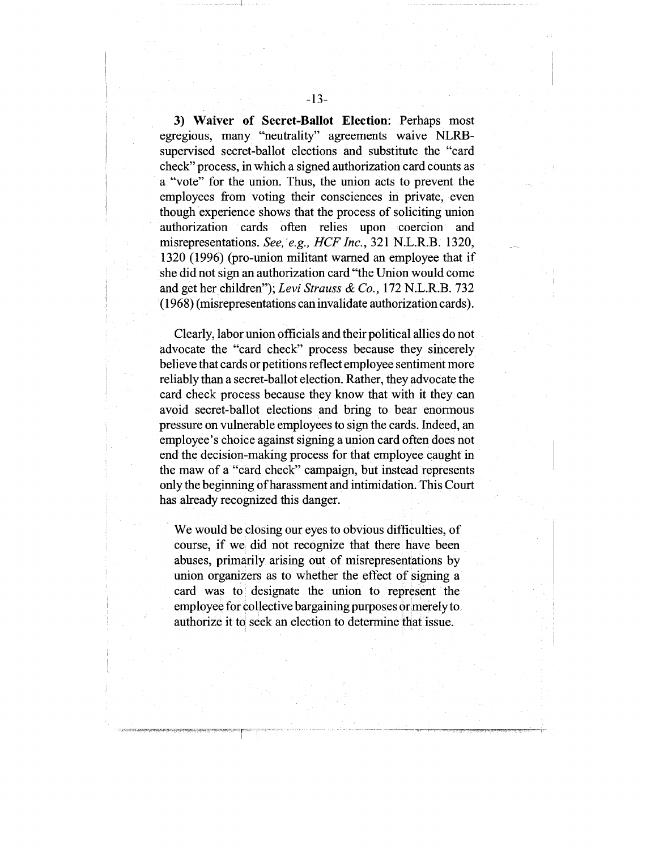**3) Waiver of Secret-Ballot Election:** Perhaps most egregious, many "neutrality" agreements waive NLRBsupervised secret-ballot elections and substitute the "card check" process, in which a signed authorization card counts as a "vote" for the union. Thus, the union acts to prevent the employees from voting their consciences in private, even though experience shows that the process of soliciting union authorization cards often relies upon coercion and misrepresentations. *See, e.g., HCFInc.,* 321 N.L.R.B. 1320, 1320 (1996) (pro-union militant warned an employee that she did not sign an authorization card "the Union would come and get her children"); *Levi Strauss & Co.,* 172 N.L.R.B. 732 (1968) (misrepresentations can invalidate authorization cards).

Clearly, labor union officials and their political allies do not advocate the "card check" process because they sincerely believe that cards or petitions reflect employee sentiment more reliably than a secret-ballot election. Rather, they advocate the card check process because they know that with it they can avoid secret-ballot elections and bring to bear enormous pressure on vulnerable employees to sign the cards. Indeed, an employee's choice against signing a union card often does not end the decision-making process for that employee caught in the maw of a "card check" campaign, but instead represents only the beginning of harassment and intimidation. This Court has already recognized this danger.

We would be closing our eyes to obvious difficulties, of course, if we did not recognize that there have been abuses, primarily arising out of misrepresentations by union organizers as to whether the effect of signing a card was to designate the union to represent the employee for collective bargaining purposes or merely to authorize it to seek an election to determine that issue.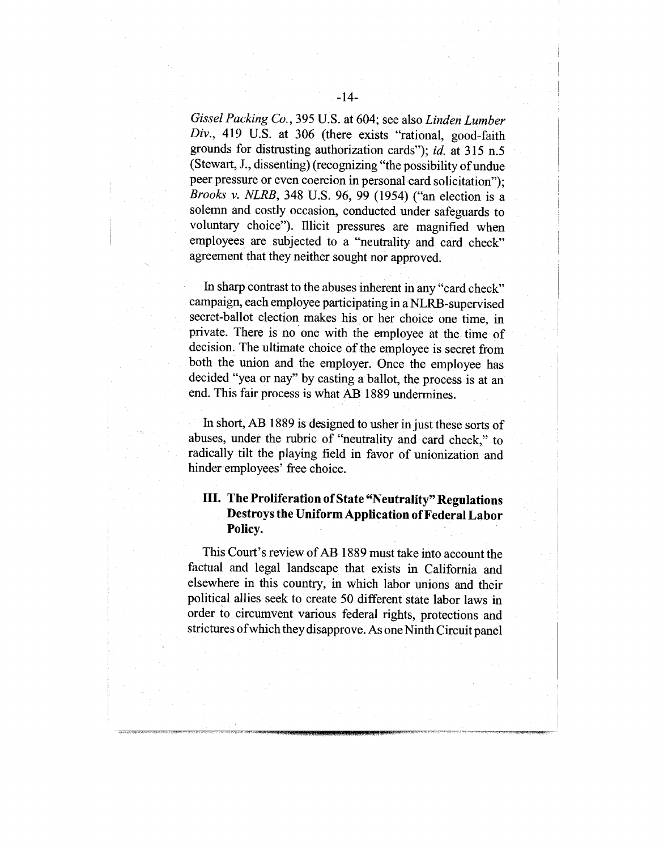*GisselPacking Co.,* 395 U.S. at 604; see also *Linden Lumber Div.,* 419 U.S. at 306 (there exists "rational, good-faith grounds for distrusting authorization cards"); *id.* at 315 n.5 (Stewart, J., dissenting) (recognizing "the possibility of undue peer pressure or even coercion in personal card solicitation"); *Brooks v. NLRB,* 348 U.S. 96, 99 (1954) ("an election is solemn and costly occasion, conducted under safeguards to voluntary choice"). Illicit pressures are magnified when employees are subjected to a "neutrality and card check" agreement that they neither sought nor approved.

In sharp contrast to the abuses inherent in any "card check" campaign, each employee participating in a NLRB-supervised secret-ballot election makes his or her choice one time, in private. There is no one with the employee at the time of decision. The ultimate choice of the employee is secret from both the union and the employer. Once the employee has decided "yea or nay" by casting a ballot, the process is at an end. This fair process is what AB 1889 undermines.

In short, AB 1889 is designed to usher in just these sorts of abuses, under the rubric of "neutrality and card check," to radically tilt the playing field in favor of unionization and hinder employees' free choice.

### **III. The Proliferation of State "Neutrality" Regulations Destroys the Uniform Application of Federal Labor Policy.**

This Court's review of AB 1889 must take into account the factual and legal landscape that exists in California and elsewhere in this country, in which labor unions and their political allies seek to create 50 different state labor laws in order to circumvent various federal rights, protections and strictures of which they disapprove. As one Ninth Circuit panel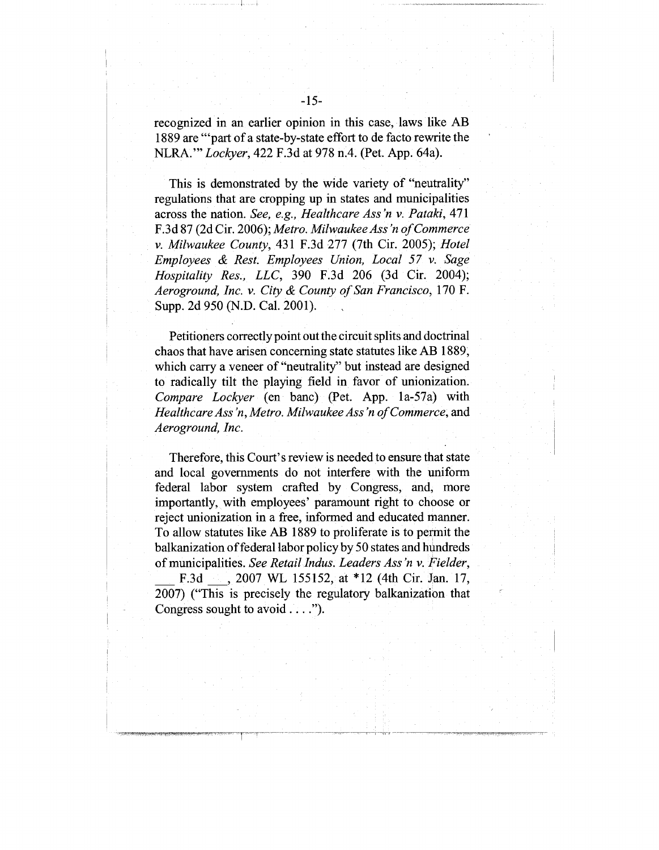recognized in an earlier opinion in this case, laws like AB 1889 are "'part of a state-by-state effort to de facto rewrite the NLRA.'" *Lockyer,* 422 F.3d at 978 n.4. (Pet. App. 64a).

This is demonstrated by the wide variety of "neutrality" regulations that are cropping up in states and municipalities across the nation. *See, e.g., Healthcare Ass "n v. Pataki,* 471 F.3d 87 (2d Cir. 2006); *Metro. Milwaukee Ass "n of Commerce v. Milwaukee County,* 431 F.3d 277 (7th Cir. 2005); *Hotel Employees & Rest. Employees Union, Local 57 v. Sage Hospitality Res., LLC,* 390 F.3d 206 (3d Cir. 2004); *Aeroground, Inc. v. City & County of San Francisco,* 170 F. Supp. 2d 950 (N.D. Cal. 2001).

Petitioners correctly point out the circuit splits and doctrinal chaos that have arisen concerning state statutes like AB 1889; which carry a veneer of "neutrality" but instead are designed to radically tilt the playing field in favor of unionization. *Compare Lockyer* (en banc) (Pet. App. la-57a) *Healthcare Ass 'n, Metro. Milwaukee Ass "n of Commerce,* and *Aeroground, Inc.*

Therefore, this Court's review is needed to ensure that state and local governments do not interfere with the uniform federal labor system crafted by Congress, and, more importantly, with employees' paramount right to choose or reject unionization in a free, informed and educated manner. To allow statutes like AB 1889 to proliferate is to permit the balkanization of federal labor policy by 50 states and hundreds of municipalities. *See Retail Indus. Leaders Ass "n v. Fielder,*

F.3d ..., 2007 WL 155152, at \*12 (4th Cir. Jan. 17, 2007) ("This is precisely the regulatory balkanization that Congress sought to avoid ....").